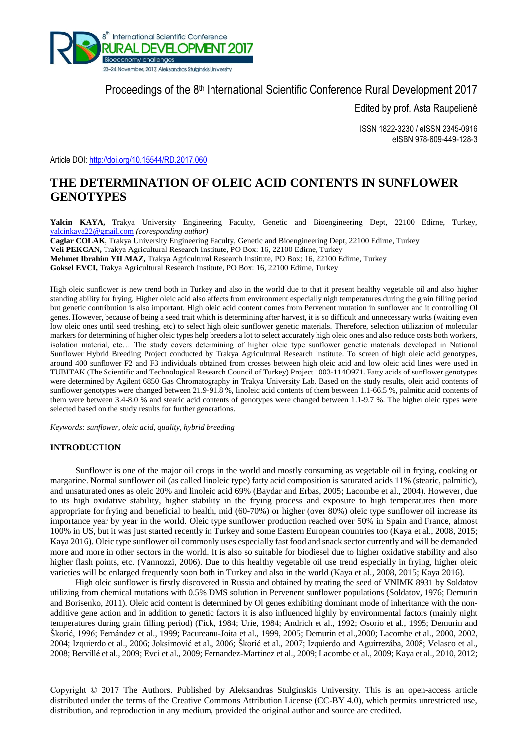

Proceedings of the 8<sup>th</sup> International Scientific Conference Rural Development 2017

Edited by prof. Asta Raupelienė

ISSN 1822-3230 / eISSN 2345-0916 eISBN 978-609-449-128-3

Article DOI:<http://doi.org/10.15544/RD.2017.060>

# **THE DETERMINATION OF OLEIC ACID CONTENTS IN SUNFLOWER GENOTYPES**

**Yalcin KAYA,** Trakya University Engineering Faculty, Genetic and Bioengineering Dept, 22100 Edirne, Turkey, [yalcinkaya22@gmail.com](mailto:yalcinkaya22@gmail.com) *(coresponding author)*

**Caglar COLAK,** Trakya University Engineering Faculty, Genetic and Bioengineering Dept, 22100 Edirne, Turkey

**Veli PEKCAN,** Trakya Agricultural Research Institute, PO Box: 16, 22100 Edirne, Turkey

**Mehmet Ibrahim YILMAZ,** Trakya Agricultural Research Institute, PO Box: 16, 22100 Edirne, Turkey

**Goksel EVCI,** Trakya Agricultural Research Institute, PO Box: 16, 22100 Edirne, Turkey

High oleic sunflower is new trend both in Turkey and also in the world due to that it present healthy vegetable oil and also higher standing ability for frying. Higher oleic acid also affects from environment especially nigh temperatures during the grain filling period but genetic contribution is also important. High oleic acid content comes from Pervenent mutation in sunflower and it controlling Ol genes. However, because of being a seed trait which is determining after harvest, it is so difficult and unnecessary works (waiting even low oleic ones until seed treshing, etc) to select high oleic sunflower genetic materials. Therefore, selection utilization of molecular markers for determining of higher oleic types help breeders a lot to select accurately high oleic ones and also reduce costs both workers, isolation material, etc… The study covers determining of higher oleic type sunflower genetic materials developed in National Sunflower Hybrid Breeding Project conducted by Trakya Agricultural Research Institute. To screen of high oleic acid genotypes, around 400 sunflower F2 and F3 individuals obtained from crosses between high oleic acid and low oleic acid lines were used in TUBITAK (The Scientific and Technological Research Council of Turkey) Project 1003-114O971. Fatty acids of sunflower genotypes were determined by Agilent 6850 Gas Chromatography in Trakya University Lab. Based on the study results, oleic acid contents of sunflower genotypes were changed between 21.9-91.8 %, linoleic acid contents of them between 1.1-66.5 %, palmitic acid contents of them were between 3.4-8.0 % and stearic acid contents of genotypes were changed between 1.1-9.7 %. The higher oleic types were selected based on the study results for further generations.

*Keywords: sunflower, oleic acid, quality, hybrid breeding*

# **INTRODUCTION**

Sunflower is one of the major oil crops in the world and mostly consuming as vegetable oil in frying, cooking or margarine. Normal sunflower oil (as called linoleic type) fatty acid composition is saturated acids 11% (stearic, palmitic), and unsaturated ones as oleic 20% and linoleic acid 69% (Baydar and Erbas, 2005; Lacombe et al., 2004). However, due to its high oxidative stability, higher stability in the frying process and exposure to high temperatures then more appropriate for frying and beneficial to health, mid (60-70%) or higher (over 80%) oleic type sunflower oil increase its importance year by year in the world. Oleic type sunflower production reached over 50% in Spain and France, almost 100% in US, but it was just started recently in Turkey and some Eastern European countries too (Kaya et al., 2008, 2015; Kaya 2016). Oleic type sunflower oil commonly uses especially fast food and snack sector currently and will be demanded more and more in other sectors in the world. It is also so suitable for biodiesel due to higher oxidative stability and also higher flash points, etc. (Vannozzi, 2006). Due to this healthy vegetable oil use trend especially in frying, higher oleic varieties will be enlarged frequently soon both in Turkey and also in the world (Kaya et al., 2008, 2015; Kaya 2016).

High oleic sunflower is firstly discovered in Russia and obtained by treating the seed of VNIMK 8931 by Soldatov utilizing from chemical mutations with 0.5% DMS solution in Pervenent sunflower populations (Soldatov, 1976; Demurin and Borisenko, 2011). Oleic acid content is determined by Ol genes exhibiting dominant mode of inheritance with the nonadditive gene action and in addition to genetic factors it is also influenced highly by environmental factors (mainly night temperatures during grain filling period) (Fick, 1984; Urie, 1984; Andrich et al., 1992; Osorio et al., 1995; Demurin and Škorić, 1996; Fernández et al., 1999; Pacureanu-Joita et al., 1999, 2005; Demurin et al.,2000; Lacombe et al., 2000, 2002, 2004; Izquierdo et al., 2006; Joksimović et al., 2006; Škorić et al., 2007; Izquierdo and Aguirrezába, 2008; Velasco et al., 2008; Bervillé et al., 2009; Evci et al., 2009; Fernandez-Martinez et al., 2009; Lacombe et al., 2009; Kaya et al., 2010, 2012;

Copyright © 2017 The Authors. Published by Aleksandras Stulginskis University. This is an open-access article distributed under the terms of the Creative Commons Attribution License (CC-BY 4.0), which permits unrestricted use, distribution, and reproduction in any medium, provided the original author and source are credited.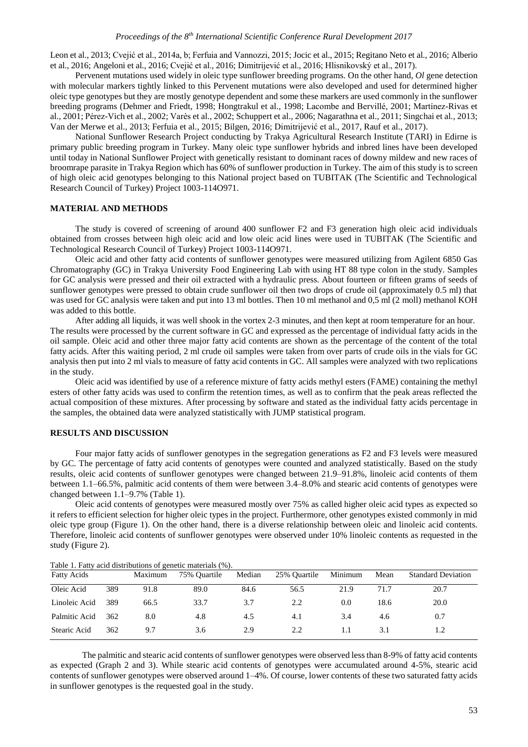Leon et al., 2013; Cvejić et al., 2014a, b; Ferfuia and Vannozzi, 2015; Jocic et al., 2015; Regitano Neto et al., 2016; Alberio et al., 2016; Angeloni et al., 2016; Cvejić et al., 2016; Dimitrijević et al., 2016; Hlisnikovský et al., 2017).

Pervenent mutations used widely in oleic type sunflower breeding programs. On the other hand, *Ol* gene detection with molecular markers tightly linked to this Pervenent mutations were also developed and used for determined higher oleic type genotypes but they are mostly genotype dependent and some these markers are used commonly in the sunflower breeding programs (Dehmer and Friedt, 1998; Hongtrakul et al., 1998; Lacombe and Bervillé, 2001; Martínez-Rivas et al., 2001; Pérez-Vich et al., 2002; Varès et al., 2002; Schuppert et al., 2006; Nagarathna et al., 2011; Singchai et al., 2013; Van der Merwe et al., 2013; Ferfuia et al., 2015; Bilgen, 2016; Dimitrijević et al., 2017, Rauf et al., 2017).

National Sunflower Research Project conducting by Trakya Agricultural Research Institute (TARI) in Edirne is primary public breeding program in Turkey. Many oleic type sunflower hybrids and inbred lines have been developed until today in National Sunflower Project with genetically resistant to dominant races of downy mildew and new races of broomrape parasite in Trakya Region which has 60% of sunflower production in Turkey. The aim of this study is to screen of high oleic acid genotypes belonging to this National project based on TUBITAK (The Scientific and Technological Research Council of Turkey) Project 1003-114O971.

## **MATERIAL AND METHODS**

The study is covered of screening of around 400 sunflower F2 and F3 generation high oleic acid individuals obtained from crosses between high oleic acid and low oleic acid lines were used in TUBITAK (The Scientific and Technological Research Council of Turkey) Project 1003-114O971.

Oleic acid and other fatty acid contents of sunflower genotypes were measured utilizing from Agilent 6850 Gas Chromatography (GC) in Trakya University Food Engineering Lab with using HT 88 type colon in the study. Samples for GC analysis were pressed and their oil extracted with a hydraulic press. About fourteen or fifteen grams of seeds of sunflower genotypes were pressed to obtain crude sunflower oil then two drops of crude oil (approximately 0.5 ml) that was used for GC analysis were taken and put into 13 ml bottles. Then 10 ml methanol and 0,5 ml (2 moll) methanol KOH was added to this bottle.

After adding all liquids, it was well shook in the vortex 2-3 minutes, and then kept at room temperature for an hour. The results were processed by the current software in GC and expressed as the percentage of individual fatty acids in the oil sample. Oleic acid and other three major fatty acid contents are shown as the percentage of the content of the total fatty acids. After this waiting period, 2 ml crude oil samples were taken from over parts of crude oils in the vials for GC analysis then put into 2 ml vials to measure of fatty acid contents in GC. All samples were analyzed with two replications in the study.

Oleic acid was identified by use of a reference mixture of fatty acids methyl esters (FAME) containing the methyl esters of other fatty acids was used to confirm the retention times, as well as to confirm that the peak areas reflected the actual composition of these mixtures. After processing by software and stated as the individual fatty acids percentage in the samples, the obtained data were analyzed statistically with JUMP statistical program.

# **RESULTS AND DISCUSSION**

Four major fatty acids of sunflower genotypes in the segregation generations as F2 and F3 levels were measured by GC. The percentage of fatty acid contents of genotypes were counted and analyzed statistically. Based on the study results, oleic acid contents of sunflower genotypes were changed between 21.9–91.8%, linoleic acid contents of them between 1.1–66.5%, palmitic acid contents of them were between 3.4–8.0% and stearic acid contents of genotypes were changed between 1.1–9.7% (Table 1).

Oleic acid contents of genotypes were measured mostly over 75% as called higher oleic acid types as expected so it refers to efficient selection for higher oleic types in the project. Furthermore, other genotypes existed commonly in mid oleic type group (Figure 1). On the other hand, there is a diverse relationship between oleic and linoleic acid contents. Therefore, linoleic acid contents of sunflower genotypes were observed under 10% linoleic contents as requested in the study (Figure 2).

| Table 1. I ally acid distributions of genetic materials (70).<br><b>Fatty Acids</b> |     | Maximum | 75% Ouartile | Median | 25% Ouartile | Minimum | Mean | <b>Standard Deviation</b> |
|-------------------------------------------------------------------------------------|-----|---------|--------------|--------|--------------|---------|------|---------------------------|
| Oleic Acid                                                                          | 389 | 91.8    | 89.0         | 84.6   | 56.5         | 21.9    | 71.7 | 20.7                      |
| Linoleic Acid                                                                       | 389 | 66.5    | 33.7         | 3.7    | 2.2          | 0.0     | 18.6 | 20.0                      |
| Palmitic Acid                                                                       | 362 | 8.0     | 4.8          | 4.5    | 4.1          | 3.4     | 4.6  | 0.7                       |
| Stearic Acid                                                                        | 362 | 9.7     | 3.6          | 2.9    | 2.2          | 1.1     | 3.1  |                           |

Table 1. Fatty acid distributions of genetic materials  $(0/2)$ .

The palmitic and stearic acid contents of sunflower genotypes were observed less than 8-9% of fatty acid contents as expected (Graph 2 and 3). While stearic acid contents of genotypes were accumulated around 4-5%, stearic acid contents of sunflower genotypes were observed around 1–4%. Of course, lower contents of these two saturated fatty acids in sunflower genotypes is the requested goal in the study.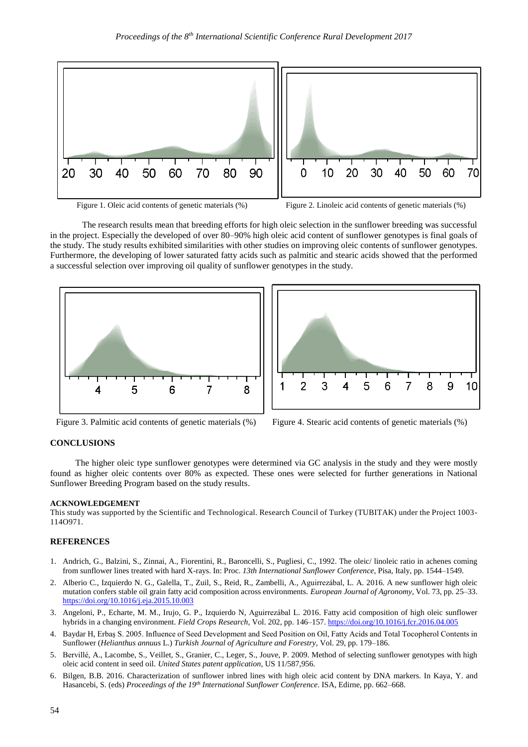

Figure 1. Oleic acid contents of genetic materials (%) Figure 2. Linoleic acid contents of genetic materials (%)

The research results mean that breeding efforts for high oleic selection in the sunflower breeding was successful in the project. Especially the developed of over 80–90% high oleic acid content of sunflower genotypes is final goals of the study. The study results exhibited similarities with other studies on improving oleic contents of sunflower genotypes. Furthermore, the developing of lower saturated fatty acids such as palmitic and stearic acids showed that the performed a successful selection over improving oil quality of sunflower genotypes in the study.





Figure 3. Palmitic acid contents of genetic materials (%) Figure 4. Stearic acid contents of genetic materials (%)

#### **CONCLUSIONS**

The higher oleic type sunflower genotypes were determined via GC analysis in the study and they were mostly found as higher oleic contents over 80% as expected. These ones were selected for further generations in National Sunflower Breeding Program based on the study results.

#### **ACKNOWLEDGEMENT**

This study was supported by the Scientific and Technological. Research Council of Turkey (TUBITAK) under the Project 1003- 114O971.

### **REFERENCES**

- 1. Andrich, G., Balzini, S., Zinnai, A., Fiorentini, R., Baroncelli, S., Pugliesi, C., 1992. The oleic/ linoleic ratio in achenes coming from sunflower lines treated with hard X-rays. In: Proc. *13th International Sunflower Conference*, Pisa, Italy, pp. 1544–1549.
- 2. Alberio C., Izquierdo N. G., Galella, T., Zuil, S., Reid, R., Zambelli, A., Aguirrezábal, L. A. 2016. A new sunflower high oleic mutation confers stable oil grain fatty acid composition across environments. *European Journal of Agronomy,* Vol. 73, pp. 25–33. <https://doi.org/10.1016/j.eja.2015.10.003>
- 3. Angeloni, P., Echarte, M. M., Irujo, G. P., Izquierdo N, Aguirrezábal L. 2016. Fatty acid composition of high oleic sunflower hybrids in a changing environment. *Field Crops Research,* Vol. 202, pp. 146–157.<https://doi.org/10.1016/j.fcr.2016.04.005>
- 4. Baydar H, Erbaş S. 2005. Influence of Seed Development and Seed Position on Oil, Fatty Acids and Total Tocopherol Contents in Sunflower (*Helianthus annuus* L.) *Turkish Journal of Agriculture and Forestry,* Vol. 29, pp. 179–186.
- 5. Bervillé, A., Lacombe, S., Veillet, S., Granier, C., Leger, S., Jouve, P. 2009. Method of selecting sunflower genotypes with high oleic acid content in seed oil. *United States patent application,* US 11/587,956.
- 6. Bilgen, B.B. 2016. Characterization of sunflower inbred lines with high oleic acid content by DNA markers. In Kaya, Y. and Hasancebi, S. (eds) *Proceedings of the 19th International Sunflower Conference*. ISA, Edirne, pp. 662–668.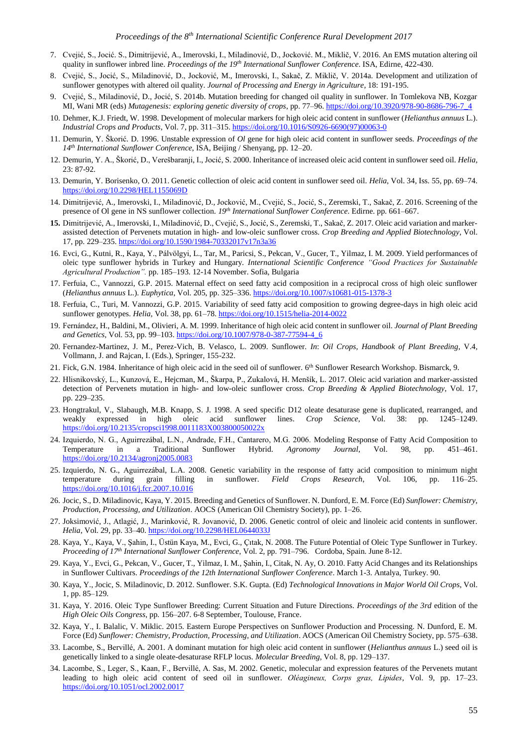- 7. Cvejić, S., Jocić. S., Dimitrijević, A., Imerovski, I., Miladinović, D., Jocković. M., Miklič, V. 2016. An EMS mutation altering oil quality in sunflower inbred line. *Proceedings of the 19th International Sunflower Conference*. ISA, Edirne, 422-430.
- 8. Cvejić, S., Jocić, S., Miladinović, D., Jocković, M., Imerovski, I., Sakač, Z. Miklič, V. 2014a. Development and utilization of sunflower genotypes with altered oil quality. *Journal of Processing and Energy in Agriculture*, 18: 191-195.
- 9. Cvejić, S., Miladinović, D., Jocić, S. 2014b. Mutation breeding for changed oil quality in sunflower. In Tomlekova NB, Kozgar MI, Wani MR (eds) *Mutagenesis: exploring genetic diversity of crops*, pp. 77–96. [https://doi.org/10.3920/978-90-8686-796-7\\_4](https://doi.org/10.3920/978-90-8686-796-7_4)
- 10. Dehmer, K.J. Friedt, W. 1998. Development of molecular markers for high oleic acid content in sunflower (*Helianthus annuus* L.). *Industrial Crops and Products*, Vol. 7, pp. 311–315[. https://doi.org/10.1016/S0926-6690\(97\)00063-0](https://doi.org/10.1016/S0926-6690(97)00063-0)
- 11. Demurin, Y. Škorić. D. 1996. Unstable expression of *Ol* gene for high oleic acid content in sunflower seeds. *Proceedings of the 14th International Sunflower Conference*, ISA, Beijing / Shenyang, pp. 12–20.
- 12. Demurin, Y. A., Škorić, D., Verešbaranji, I., Jocić, S. 2000. Inheritance of increased oleic acid content in sunflower seed oil. *Helia,* 23: 87-92.
- 13. Demurin, Y. Borisenko, O. 2011. Genetic collection of oleic acid content in sunflower seed oil. *Helia*, Vol. 34, Iss. 55, pp. 69–74. <https://doi.org/10.2298/HEL1155069D>
- 14. Dimitrijević, A., Imerovski, I., Miladinović, D., Jocković, M., Cvejić, S., Jocić, S., Zeremski, T., Sakač, Z. 2016. Screening of the presence of Ol gene in NS sunflower collection. *19th International Sunflower Conference*. Edirne. pp. 661–667.
- **15.** Dimitrijević, A., Imerovski, I., Miladinović, D., Cvejić, S., Jocić, S., Zeremski, T., Sakač, Z. 2017. Oleic acid variation and markerassisted detection of Pervenets mutation in high- and low-oleic sunflower cross. *Crop Breeding and Applied Biotechnology,* Vol. 17, pp. 229–235. <https://doi.org/10.1590/1984-70332017v17n3a36>
- 16. Evci, G., Kutni, R., Kaya, Y., Pálvölgyi, L., Tar, M., Paricsi, S., Pekcan, V., Gucer, T., Yilmaz, I. M. 2009. Yield performances of oleic type sunflower hybrids in Turkey and Hungary*. International Scientific Conference "Good Practices for Sustainable Agricultural Production".* pp. 185–193. 12-14 November. Sofia, Bulgaria
- 17. Ferfuia, C., Vannozzi, G.P. 2015. Maternal effect on seed fatty acid composition in a reciprocal cross of high oleic sunflower (*Helianthus annuus* L.). *Euphytica*, Vol. 205, pp. 325–336[. https://doi.org/10.1007/s10681-015-1378-3](https://doi.org/10.1007/s10681-015-1378-3)
- 18. Ferfuia, C., Turi, M. Vannozzi, G.P. 2015. Variability of seed fatty acid composition to growing degree-days in high oleic acid sunflower genotypes. *Helia*, Vol. 38, pp. 61–78[. https://doi.org/10.1515/helia-2014-0022](https://doi.org/10.1515/helia-2014-0022)
- 19. Fernández, H., Baldini, M., Olivieri, A. M. 1999. Inheritance of high oleic acid content in sunflower oil. *Journal of Plant Breeding and Genetics,* Vol. 53, pp. 99–103. [https://doi.org/10.1007/978-0-387-77594-4\\_6](https://doi.org/10.1007/978-0-387-77594-4_6)
- 20. Fernandez-Martinez, J. M., Perez-Vich, B. Velasco, L. 2009. Sunflower. *In*: *Oil Crops, Handbook of Plant Breeding*, V.4, Vollmann, J. and Rajcan, I. (Eds.), Springer, 155-232.
- 21. Fick, G.N. 1984. Inheritance of high oleic acid in the seed oil of sunflower. 6<sup>th</sup> Sunflower Research Workshop. Bismarck, 9.
- 22. Hlisnikovský, L., Kunzová, E., Hejcman, M., Škarpa, P., Zukalová, H. Menšík, L. 2017. Oleic acid variation and marker-assisted detection of Pervenets mutation in high- and low-oleic sunflower cross. *Crop Breeding & Applied Biotechnology*, Vol. 17, pp. 229–235.
- 23. Hongtrakul, V., Slabaugh, M.B. Knapp, S. J. 1998. A seed specific D12 oleate desaturase gene is duplicated, rearranged, and weakly expressed in high oleic acid sunflower lines. *Crop Science*, Vol. 38: pp. 1245–1249. <https://doi.org/10.2135/cropsci1998.0011183X003800050022x>
- 24. Izquierdo, N. G., Aguirrezábal, L.N., Andrade, F.H., Cantarero, M.G. 2006. Modeling Response of Fatty Acid Composition to Temperature in a Traditional Sunflower Hybrid. *Agronomy Journal*, Vol. 98, pp. 451–461. <https://doi.org/10.2134/agronj2005.0083>
- 25. Izquierdo, N. G., Aguirrezábal, L.A. 2008. Genetic variability in the response of fatty acid composition to minimum night temperature during grain filling in sunflower. *Field Crops Research*, Vol. 106, pp. 116–25. <https://doi.org/10.1016/j.fcr.2007.10.016>
- 26. Jocic, S., D. Miladinovic, Kaya, Y. 2015. Breeding and Genetics of Sunflower. N. Dunford, E. M. Force (Ed) *Sunflower: Chemistry, Production, Processing, and Utilization*. AOCS (American Oil Chemistry Society), pp. 1–26.
- 27. Joksimović, J., Atlagić, J., Marinković, R. Jovanović, D. 2006. Genetic control of oleic and linoleic acid contents in sunflower. *Helia*, Vol. 29, pp. 33–40[. https://doi.org/10.2298/HEL0644033J](https://doi.org/10.2298/HEL0644033J)
- 28. Kaya, Y., Kaya, V., Şahin, I., Üstün Kaya, M., Evci, G., Çıtak, N. 2008. The Future Potential of Oleic Type Sunflower in Turkey. *Proceeding of 17th International Sunflower Conference*, Vol. 2, pp. 791–796. Cordoba, Spain. June 8-12.
- 29. Kaya, Y., Evci, G., Pekcan, V., Gucer, T., Yilmaz, I. M., Şahin, I., Citak, N. Ay, O. 2010. Fatty Acid Changes and its Relationships in Sunflower Cultivars. *Proceedings of the 12th International Sunflower Conference*. March 1-3. Antalya, Turkey. 90.
- 30. [Kaya,](http://www.springerlink.com/content/?Author=Yalcin+Kaya) Y.[, Jocic,](http://www.springerlink.com/content/?Author=Sinisa+Jocic) S. [Miladinovic,](http://www.springerlink.com/content/?Author=Dragana+Miladinovic) D. 2012. Sunflower. S.K. Gupta. (Ed) *Technological Innovations in Major World Oil Crops*, Vol. 1, pp. 85–129.
- 31. Kaya, Y. 2016. Oleic Type Sunflower Breeding: Current Situation and Future Directions. *Proceedings of the 3rd* edition of the *High Oleic Oils Congress*, pp. 156–207. 6-8 September, Toulouse, France.
- 32. Kaya, Y., I. Balalic, V. Miklic. 2015. Eastern Europe Perspectives on Sunflower Production and Processing. N. Dunford, E. M. Force (Ed) *Sunflower: Chemistry, Production, Processing, and Utilization*. AOCS (American Oil Chemistry Society, pp. 575–638.
- 33. Lacombe, S., Bervillé, A. 2001. A dominant mutation for high oleic acid content in sunflower (*Helianthus annuus* L.) seed oil is genetically linked to a single oleate-desaturase RFLP locus*. Molecular Breeding,* Vol. 8, pp. 129–137.
- 34. Lacombe, S., Leger, S., Kaan, F., Bervillé, A. Sas, M. 2002. Genetic, molecular and expression features of the Pervenets mutant leading to high oleic acid content of seed oil in sunflower. *Oléagineux, Corps gras, Lipides*, Vol. 9, pp. 17–23. <https://doi.org/10.1051/ocl.2002.0017>